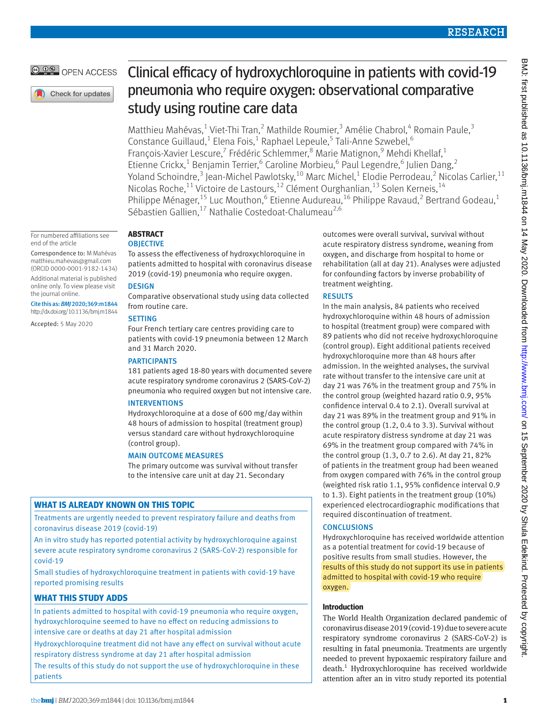# OPEN ACCESS

Check for updates

#### For numbered affiliations see end of the article

Correspondence to: M Mahévas [matthieu.mahevas@gmail.com](mailto:matthieu.mahevas@gmail.com) (ORCID [0000-0001-9182-1434\)](http://orcid.org/0000-0001-9182-1434)

Additional material is published online only. To view please visit the journal online.

Cite this as: *BMJ* 2020;369:m1844 http://dx.doi.org/10.1136/bmj.m1844

Accepted: 5 May 2020

# Clinical efficacy of hydroxychloroquine in patients with covid-19 pneumonia who require oxygen: observational comparative study using routine care data

Matthieu Mahévas,<sup>1</sup> Viet-Thi Tran,<sup>2</sup> Mathilde Roumier,<sup>3</sup> Amélie Chabrol,<sup>4</sup> Romain Paule,<sup>3</sup> Constance Guillaud,<sup>1</sup> Elena Fois,<sup>1</sup> Raphael Lepeule,<sup>5</sup> Tali-Anne Szwebel,<sup>6</sup> François-Xavier Lescure,<sup>7</sup> Frédéric Schlemmer,<sup>8</sup> Marie Matignon,<sup>9</sup> Mehdi Khellaf,<sup>1</sup> Etienne Crickx,<sup>1</sup> Benjamin Terrier,<sup>6</sup> Caroline Morbieu,<sup>6</sup> Paul Legendre,<sup>6</sup> Julien Dang,<sup>2</sup> Yoland Schoindre, $^3$  Jean-Michel Pawlotsky, $^{10}$  Marc Michel, $^1$  Elodie Perrodeau, $^2$  Nicolas Carlier, $^{11}$ Nicolas Roche,<sup>11</sup> Victoire de Lastours,<sup>12</sup> Clément Ourghanlian,<sup>13</sup> Solen Kerneis,<sup>14</sup> Philippe Ménager,<sup>15</sup> Luc Mouthon, <sup>6</sup> Etienne Audureau, <sup>16</sup> Philippe Ravaud, <sup>2</sup> Bertrand Godeau, <sup>1</sup> Sébastien Gallien,<sup>17</sup> Nathalie Costedoat-Chalumeau<sup>2,6</sup>

# **ABSTRACT**

# **OBJECTIVE**

To assess the effectiveness of hydroxychloroquine in patients admitted to hospital with coronavirus disease 2019 (covid-19) pneumonia who require oxygen.

# **DESIGN**

Comparative observational study using data collected from routine care.

# **SETTING**

Four French tertiary care centres providing care to patients with covid-19 pneumonia between 12 March and 31 March 2020.

# **PARTICIPANTS**

181 patients aged 18-80 years with documented severe acute respiratory syndrome coronavirus 2 (SARS-CoV-2) pneumonia who required oxygen but not intensive care.

# INTERVENTIONS

Hydroxychloroquine at a dose of 600 mg/day within 48 hours of admission to hospital (treatment group) versus standard care without hydroxychloroquine (control group).

# MAIN OUTCOME MEASURES

The primary outcome was survival without transfer to the intensive care unit at day 21. Secondary

# **WHAT IS ALREADY KNOWN ON THIS TOPIC**

Treatments are urgently needed to prevent respiratory failure and deaths from coronavirus disease 2019 (covid-19)

An in vitro study has reported potential activity by hydroxychloroquine against severe acute respiratory syndrome coronavirus 2 (SARS-CoV-2) responsible for covid-19

Small studies of hydroxychloroquine treatment in patients with covid-19 have reported promising results

# **WHAT THIS STUDY ADDS**

In patients admitted to hospital with covid-19 pneumonia who require oxygen, hydroxychloroquine seemed to have no effect on reducing admissions to intensive care or deaths at day 21 after hospital admission

Hydroxychloroquine treatment did not have any effect on survival without acute respiratory distress syndrome at day 21 after hospital admission

The results of this study do not support the use of hydroxychloroquine in these patients

outcomes were overall survival, survival without acute respiratory distress syndrome, weaning from oxygen, and discharge from hospital to home or rehabilitation (all at day 21). Analyses were adjusted for confounding factors by inverse probability of treatment weighting.

# RESULTS

In the main analysis, 84 patients who received hydroxychloroquine within 48 hours of admission to hospital (treatment group) were compared with 89 patients who did not receive hydroxychloroquine (control group). Eight additional patients received hydroxychloroquine more than 48 hours after admission. In the weighted analyses, the survival rate without transfer to the intensive care unit at day 21 was 76% in the treatment group and 75% in the control group (weighted hazard ratio 0.9, 95% confidence interval 0.4 to 2.1). Overall survival at day 21 was 89% in the treatment group and 91% in the control group (1.2, 0.4 to 3.3). Survival without acute respiratory distress syndrome at day 21 was 69% in the treatment group compared with 74% in the control group (1.3, 0.7 to 2.6). At day 21, 82% of patients in the treatment group had been weaned from oxygen compared with 76% in the control group (weighted risk ratio 1.1, 95% confidence interval 0.9 to 1.3). Eight patients in the treatment group (10%) experienced electrocardiographic modifications that required discontinuation of treatment.

# **CONCLUSIONS**

Hydroxychloroquine has received worldwide attention as a potential treatment for covid-19 because of positive results from small studies. However, the results of this study do not support its use in patients admitted to hospital with covid-19 who require oxygen.

# **Introduction**

The World Health Organization declared pandemic of coronavirus disease 2019 (covid-19) due to severe acute respiratory syndrome coronavirus 2 (SARS-CoV-2) is resulting in fatal pneumonia. Treatments are urgently needed to prevent hypoxaemic respiratory failure and death.<sup>1</sup> Hydroxychloroquine has received worldwide attention after an in vitro study reported its potential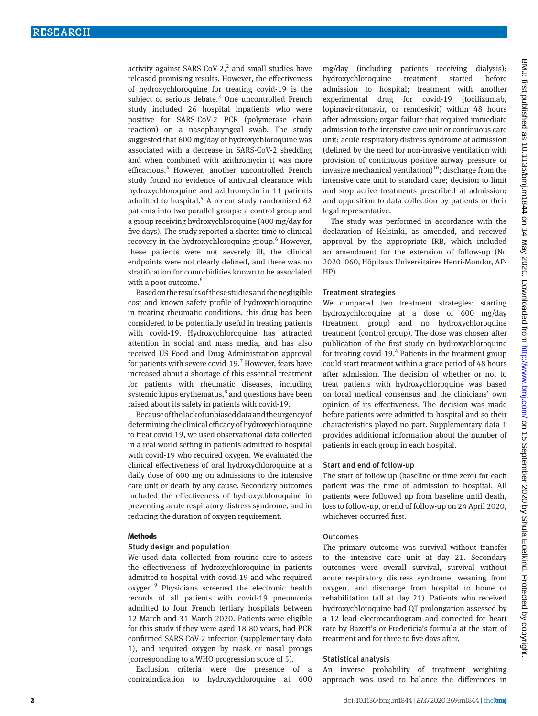activity against SARS-CoV-2, $^2$  and small studies have released promising results. However, the effectiveness of hydroxychloroquine for treating covid-19 is the subject of serious debate.<sup>3</sup> One uncontrolled French study included 26 hospital inpatients who were positive for SARS-CoV-2 PCR (polymerase chain reaction) on a nasopharyngeal swab. The study suggested that 600 mg/day of hydroxychloroquine was associated with a decrease in SARS-CoV-2 shedding and when combined with azithromycin it was more efficacious.<sup>4</sup> However, another uncontrolled French study found no evidence of antiviral clearance with hydroxychloroquine and azithromycin in 11 patients admitted to hospital.<sup>5</sup> A recent study randomised 62 patients into two parallel groups: a control group and a group receiving hydroxychloroquine (400 mg/day for five days). The study reported a shorter time to clinical recovery in the hydroxychloroquine group.<sup>6</sup> However, these patients were not severely ill, the clinical endpoints were not clearly defined, and there was no stratification for comorbidities known to be associated with a poor outcome.<sup>6</sup>

Based on the results of these studies and the negligible cost and known safety profile of hydroxychloroquine in treating rheumatic conditions, this drug has been considered to be potentially useful in treating patients with covid-19. Hydroxychloroquine has attracted attention in social and mass media, and has also received US Food and Drug Administration approval for patients with severe covid-19.<sup>7</sup> However, fears have increased about a shortage of this essential treatment for patients with rheumatic diseases, including systemic lupus erythematus,<sup>8</sup> and questions have been raised about its safety in patients with covid-19.

Because of the lack of unbiased data and the urgency of determining the clinical efficacy of hydroxychloroquine to treat covid-19, we used observational data collected in a real world setting in patients admitted to hospital with covid-19 who required oxygen. We evaluated the clinical effectiveness of oral hydroxychloroquine at a daily dose of 600 mg on admissions to the intensive care unit or death by any cause. Secondary outcomes included the effectiveness of hydroxychloroquine in preventing acute respiratory distress syndrome, and in reducing the duration of oxygen requirement.

## **Methods**

## Study design and population

We used data collected from routine care to assess the effectiveness of hydroxychloroquine in patients admitted to hospital with covid-19 and who required oxygen.<sup>9</sup> Physicians screened the electronic health records of all patients with covid-19 pneumonia admitted to four French tertiary hospitals between 12 March and 31 March 2020. Patients were eligible for this study if they were aged 18-80 years, had PCR confirmed SARS-CoV-2 infection (supplementary data 1), and required oxygen by mask or nasal prongs (corresponding to a WHO progression score of 5).

Exclusion criteria were the presence of a contraindication to hydroxychloroquine at 600 mg/day (including patients receiving dialysis); hydroxychloroquine treatment started before admission to hospital; treatment with another experimental drug for covid-19 (tocilizumab, lopinavir-ritonavir, or remdesivir) within 48 hours after admission; organ failure that required immediate admission to the intensive care unit or continuous care unit; acute respiratory distress syndrome at admission (defined by the need for non-invasive ventilation with provision of continuous positive airway pressure or invasive mechanical ventilation)<sup>10</sup>; discharge from the intensive care unit to standard care; decision to limit and stop active treatments prescribed at admission; and opposition to data collection by patients or their legal representative.

The study was performed in accordance with the declaration of Helsinki, as amended, and received approval by the appropriate IRB, which included an amendment for the extension of follow-up (No 2020\_060, Hôpitaux Universitaires Henri-Mondor, AP-HP).

#### Treatment strategies

We compared two treatment strategies: starting hydroxychloroquine at a dose of 600 mg/day (treatment group) and no hydroxychloroquine treatment (control group). The dose was chosen after publication of the first study on hydroxychloroquine for treating covid-19. $4$  Patients in the treatment group could start treatment within a grace period of 48 hours after admission. The decision of whether or not to treat patients with hydroxychloroquine was based on local medical consensus and the clinicians' own opinion of its effectiveness. The decision was made before patients were admitted to hospital and so their characteristics played no part. Supplementary data 1 provides additional information about the number of patients in each group in each hospital.

## Start and end of follow-up

The start of follow-up (baseline or time zero) for each patient was the time of admission to hospital. All patients were followed up from baseline until death, loss to follow-up, or end of follow-up on 24 April 2020, whichever occurred first.

# **Outcomes**

The primary outcome was survival without transfer to the intensive care unit at day 21. Secondary outcomes were overall survival, survival without acute respiratory distress syndrome, weaning from oxygen, and discharge from hospital to home or rehabilitation (all at day 21). Patients who received hydroxychloroquine had QT prolongation assessed by a 12 lead electrocardiogram and corrected for heart rate by Bazett's or Fredericia's formula at the start of treatment and for three to five days after.

# Statistical analysis

An inverse probability of treatment weighting approach was used to balance the differences in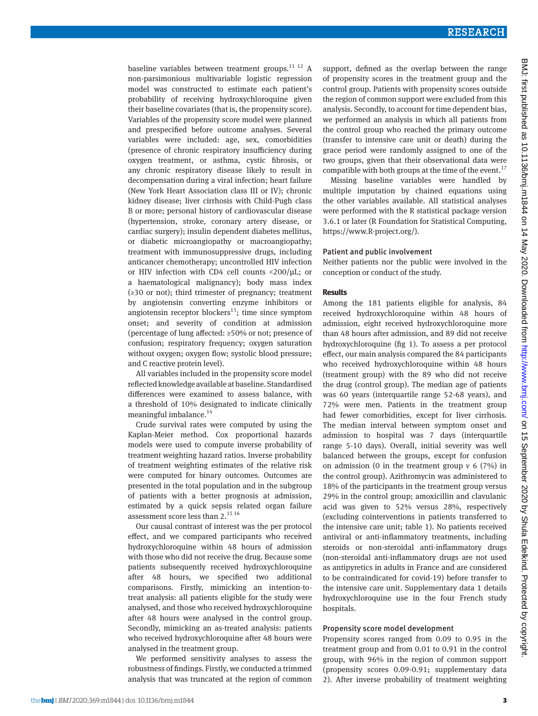baseline variables between treatment groups.<sup>11 12</sup> A non-parsimonious multivariable logistic regression model was constructed to estimate each patient's probability of receiving hydroxychloroquine given their baseline covariates (that is, the propensity score). Variables of the propensity score model were planned and prespecified before outcome analyses. Several variables were included: age, sex, comorbidities (presence of chronic respiratory insufficiency during oxygen treatment, or asthma, cystic fibrosis, or any chronic respiratory disease likely to result in decompensation during a viral infection; heart failure (New York Heart Association class III or IV); chronic kidney disease; liver cirrhosis with Child-Pugh class B or more; personal history of cardiovascular disease (hypertension, stroke, coronary artery disease, or cardiac surgery); insulin dependent diabetes mellitus, or diabetic microangiopathy or macroangiopathy; treatment with immunosuppressive drugs, including anticancer chemotherapy; uncontrolled HIV infection or HIV infection with CD4 cell counts <200/µL; or a haematological malignancy); body mass index (≥30 or not); third trimester of pregnancy; treatment by angiotensin converting enzyme inhibitors or angiotensin receptor blockers<sup>13</sup>; time since symptom onset; and severity of condition at admission (percentage of lung affected: ≥50% or not; presence of confusion; respiratory frequency; oxygen saturation without oxygen; oxygen flow; systolic blood pressure; and C reactive protein level).

All variables included in the propensity score model reflected knowledge available at baseline. Standardised differences were examined to assess balance, with a threshold of 10% designated to indicate clinically meaningful imbalance.<sup>14</sup>

Crude survival rates were computed by using the Kaplan-Meier method. Cox proportional hazards models were used to compute inverse probability of treatment weighting hazard ratios. Inverse probability of treatment weighting estimates of the relative risk were computed for binary outcomes. Outcomes are presented in the total population and in the subgroup of patients with a better prognosis at admission, estimated by a quick sepsis related organ failure assessment score less than 2.<sup>15 16</sup>

Our causal contrast of interest was the per protocol effect, and we compared participants who received hydroxychloroquine within 48 hours of admission with those who did not receive the drug. Because some patients subsequently received hydroxychloroquine after 48 hours, we specified two additional comparisons. Firstly, mimicking an intention-totreat analysis: all patients eligible for the study were analysed, and those who received hydroxychloroquine after 48 hours were analysed in the control group. Secondly, mimicking an as-treated analysis: patients who received hydroxychloroquine after 48 hours were analysed in the treatment group.

We performed sensitivity analyses to assess the robustness of findings. Firstly, we conducted a trimmed analysis that was truncated at the region of common support, defined as the overlap between the range of propensity scores in the treatment group and the control group. Patients with propensity scores outside the region of common support were excluded from this analysis. Secondly, to account for time dependent bias, we performed an analysis in which all patients from the control group who reached the primary outcome (transfer to intensive care unit or death) during the grace period were randomly assigned to one of the two groups, given that their observational data were compatible with both groups at the time of the event.<sup>17</sup>

Missing baseline variables were handled by multiple imputation by chained equations using the other variables available. All statistical analyses were performed with the R statistical package version 3.6.1 or later (R Foundation for Statistical Computing, <https://www.R-project.org/>).

## Patient and public involvement

Neither patients nor the public were involved in the conception or conduct of the study.

#### **Results**

Among the 181 patients eligible for analysis, 84 received hydroxychloroquine within 48 hours of admission, eight received hydroxychloroquine more than 48 hours after admission, and 89 did not receive hydroxychloroquine (fig 1). To assess a per protocol effect, our main analysis compared the 84 participants who received hydroxychloroquine within 48 hours (treatment group) with the 89 who did not receive the drug (control group). The median age of patients was 60 years (interquartile range 52-68 years), and 72% were men. Patients in the treatment group had fewer comorbidities, except for liver cirrhosis. The median interval between symptom onset and admission to hospital was 7 days (interquartile range 5-10 days). Overall, initial severity was well balanced between the groups, except for confusion on admission (0 in the treatment group  $v$  6 (7%) in the control group). Azithromycin was administered to 18% of the participants in the treatment group versus 29% in the control group; amoxicillin and clavulanic acid was given to 52% versus 28%, respectively (excluding cointerventions in patients transferred to the intensive care unit; table 1). No patients received antiviral or anti-inflammatory treatments, including steroids or non-steroidal anti-inflammatory drugs (non-steroidal anti-inflammatory drugs are not used as antipyretics in adults in France and are considered to be contraindicated for covid-19) before transfer to the intensive care unit. Supplementary data 1 details hydroxychloroquine use in the four French study hospitals.

## Propensity score model development

Propensity scores ranged from 0.09 to 0.95 in the treatment group and from 0.01 to 0.91 in the control group, with 96% in the region of common support (propensity scores 0.09-0.91; supplementary data 2). After inverse probability of treatment weighting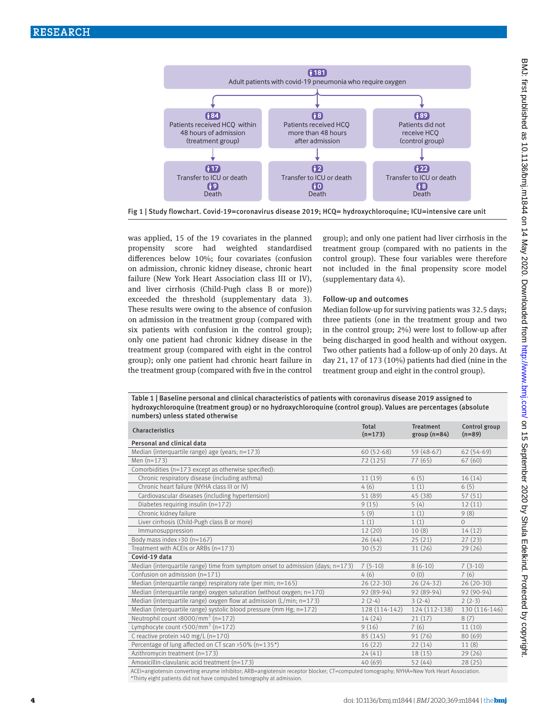

Fig 1 | Study flowchart. Covid-19=coronavirus disease 2019; HCQ= hydroxychloroquine; ICU=intensive care unit

was applied, 15 of the 19 covariates in the planned propensity score had weighted standardised differences below 10%; four covariates (confusion on admission, chronic kidney disease, chronic heart failure (New York Heart Association class III or IV), and liver cirrhosis (Child-Pugh class B or more)) exceeded the threshold (supplementary data 3). These results were owing to the absence of confusion on admission in the treatment group (compared with six patients with confusion in the control group); only one patient had chronic kidney disease in the treatment group (compared with eight in the control group); only one patient had chronic heart failure in the treatment group (compared with five in the control group); and only one patient had liver cirrhosis in the treatment group (compared with no patients in the control group). These four variables were therefore not included in the final propensity score model (supplementary data 4).

# Follow-up and outcomes

Median follow-up for surviving patients was 32.5 days; three patients (one in the treatment group and two in the control group; 2%) were lost to follow-up after being discharged in good health and without oxygen. Two other patients had a follow-up of only 20 days. At day 21, 17 of 173 (10%) patients had died (nine in the treatment group and eight in the control group).

Table 1 | Baseline personal and clinical characteristics of patients with coronavirus disease 2019 assigned to hydroxychloroquine (treatment group) or no hydroxychloroquine (control group). Values are percentages (absolute numbers) unless stated otherwise

| Characteristics                                                                 | Total<br>$(n=173)$ | Treatment<br>$group(n=84)$ | Control group<br>$(n=89)$ |
|---------------------------------------------------------------------------------|--------------------|----------------------------|---------------------------|
| Personal and clinical data                                                      |                    |                            |                           |
| Median (interquartile range) age (years; n=173)                                 | $60(52-68)$        | 59 (48-67)                 | $62(54-69)$               |
| Men $(n=173)$                                                                   | 72(125)            | 77(65)                     | 67(60)                    |
| Comorbidities (n=173 except as otherwise specified):                            |                    |                            |                           |
| Chronic respiratory disease (including asthma)                                  | 11(19)             | 6(5)                       | 16(14)                    |
| Chronic heart failure (NYHA class III or IV)                                    | 4(6)               | 1(1)                       | 6(5)                      |
| Cardiovascular diseases (including hypertension)                                | 51 (89)            | 45 (38)                    | 57(51)                    |
| Diabetes requiring insulin (n=172)                                              | 9(15)              | 5(4)                       | 12(11)                    |
| Chronic kidney failure                                                          | 5(9)               | 1(1)                       | 9(8)                      |
| Liver cirrhosis (Child-Pugh class B or more)                                    | 1(1)               | 1(1)                       | $\Omega$                  |
| Immunosuppression                                                               | 12(20)             | 10(8)                      | 14(12)                    |
| Body mass index $30$ (n=167)                                                    | 26(44)             | 25(21)                     | 27(23)                    |
| Treatment with ACEIs or ARBs (n=173)                                            | 30(52)             | 31(26)                     | 29(26)                    |
| Covid-19 data                                                                   |                    |                            |                           |
| Median (interquartile range) time from symptom onset to admission (days; n=173) | $7(5-10)$          | $8(6-10)$                  | $7(3-10)$                 |
| Confusion on admission (n=171)                                                  | 4(6)               | 0(0)                       | 7(6)                      |
| Median (interquartile range) respiratory rate (per min; n=165)                  | $26(22-30)$        | $26(24-32)$                | $26(20-30)$               |
| Median (interquartile range) oxygen saturation (without oxygen; $n=170$ )       | 92 (89-94)         | 92 (89-94)                 | $92(90-94)$               |
| Median (interquartile range) oxygen flow at admission ( $L/min$ ; $n=173$ )     | $2(2-4)$           | $3(2-4)$                   | $2(2-3)$                  |
| Median (interquartile range) systolic blood pressure (mm $Hg$ ; $n=172$ )       | 128 (114-142)      | 124 (112-138)              | 130 (116-146)             |
| Neutrophil count >8000/mm <sup>3</sup> (n=172)                                  | 14(24)             | 21(17)                     | 8(7)                      |
| Lymphocyte count $\langle 500/\text{mm}^3 \rangle$ (n=172)                      | 9(16)              | 7(6)                       | 11(10)                    |
| C reactive protein >40 mg/L $(n=170)$                                           | 85 (145)           | 91(76)                     | 80(69)                    |
| Percentage of lung affected on CT scan >50% (n=135*)                            | 16(22)             | 22(14)                     | 11(8)                     |
| Azithromycin treatment (n=173)                                                  | 24(41)             | 18(15)                     | 29(26)                    |
| Amoxicillin-clavulanic acid treatment (n=173)                                   | 40(69)             | 52(44)                     | 28(25)                    |

ACEI=angiotensin converting enzyme inhibitor; ARB=angiotensin receptor blocker; CT=computed tomography; NYHA=New York Heart Association. \*Thirty eight patients did not have computed tomography at admission.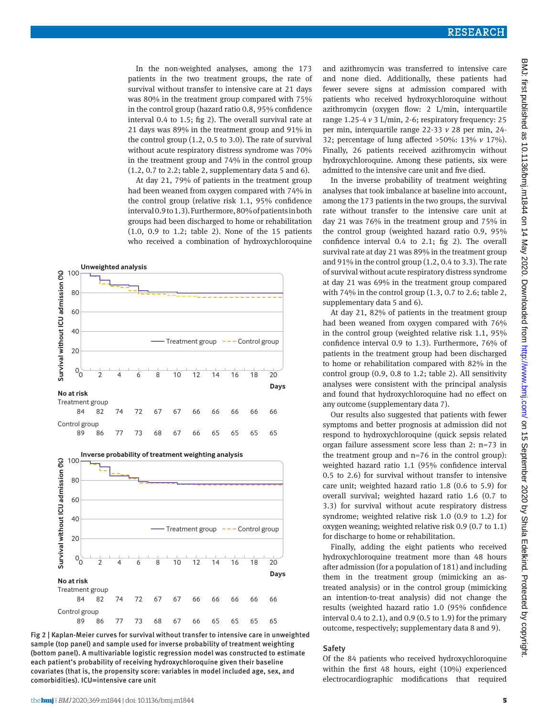In the non-weighted analyses, among the 173 patients in the two treatment groups, the rate of survival without transfer to intensive care at 21 days was 80% in the treatment group compared with 75% in the control group (hazard ratio 0.8, 95% confidence interval 0.4 to 1.5; fig 2). The overall survival rate at 21 days was 89% in the treatment group and 91% in the control group (1.2, 0.5 to 3.0). The rate of survival without acute respiratory distress syndrome was 70% in the treatment group and 74% in the control group (1.2, 0.7 to 2.2; table 2, supplementary data 5 and 6).

At day 21, 79% of patients in the treatment group had been weaned from oxygen compared with 74% in the control group (relative risk 1.1, 95% confidence interval 0.9 to 1.3). Furthermore, 80% of patients in both groups had been discharged to home or rehabilitation (1.0, 0.9 to 1.2; table 2). None of the 15 patients who received a combination of hydroxychloroquine



Fig 2 | Kaplan-Meier curves for survival without transfer to intensive care in unweighted sample (top panel) and sample used for inverse probability of treatment weighting (bottom panel). A multivariable logistic regression model was constructed to estimate each patient's probability of receiving hydroxychloroquine given their baseline covariates (that is, the propensity score: variables in model included age, sex, and comorbidities). ICU=intensive care unit

and azithromycin was transferred to intensive care and none died. Additionally, these patients had fewer severe signs at admission compared with patients who received hydroxychloroquine without azithromycin (oxygen flow: 2 L/min, interquartile range 1.25-4 *v* 3 L/min, 2-6; respiratory frequency: 25 per min, interquartile range 22-33 *v* 28 per min, 24- 32; percentage of lung affected >50%: 13% *v* 17%). Finally, 26 patients received azithromycin without hydroxychloroquine. Among these patients, six were admitted to the intensive care unit and five died.

In the inverse probability of treatment weighting analyses that took imbalance at baseline into account, among the 173 patients in the two groups, the survival rate without transfer to the intensive care unit at day 21 was 76% in the treatment group and 75% in the control group (weighted hazard ratio 0.9, 95% confidence interval 0.4 to 2.1; fig 2). The overall survival rate at day 21 was 89% in the treatment group and 91% in the control group (1.2, 0.4 to 3.3). The rate of survival without acute respiratory distress syndrome at day 21 was 69% in the treatment group compared with 74% in the control group (1.3, 0.7 to 2.6; table 2, supplementary data 5 and 6).

At day 21, 82% of patients in the treatment group had been weaned from oxygen compared with 76% in the control group (weighted relative risk 1.1, 95% confidence interval 0.9 to 1.3). Furthermore, 76% of patients in the treatment group had been discharged to home or rehabilitation compared with 82% in the control group (0.9, 0.8 to 1.2; table 2). All sensitivity analyses were consistent with the principal analysis and found that hydroxychloroquine had no effect on any outcome (supplementary data 7).

Our results also suggested that patients with fewer symptoms and better prognosis at admission did not respond to hydroxychloroquine (quick sepsis related organ failure assessment score less than 2: n=73 in the treatment group and  $n=76$  in the control group): weighted hazard ratio 1.1 (95% confidence interval 0.5 to 2.6) for survival without transfer to intensive care unit; weighted hazard ratio 1.8 (0.6 to 5.9) for overall survival; weighted hazard ratio 1.6 (0.7 to 3.3) for survival without acute respiratory distress syndrome; weighted relative risk 1.0 (0.9 to 1.2) for oxygen weaning; weighted relative risk 0.9 (0.7 to 1.1) for discharge to home or rehabilitation.

Finally, adding the eight patients who received hydroxychloroquine treatment more than 48 hours after admission (for a population of 181) and including them in the treatment group (mimicking an astreated analysis) or in the control group (mimicking an intention-to-treat analysis) did not change the results (weighted hazard ratio 1.0 (95% confidence interval 0.4 to 2.1), and 0.9 (0.5 to 1.9) for the primary outcome, respectively; supplementary data 8 and 9).

# Safety

Of the 84 patients who received hydroxychloroquine within the first 48 hours, eight (10%) experienced electrocardiographic modifications that required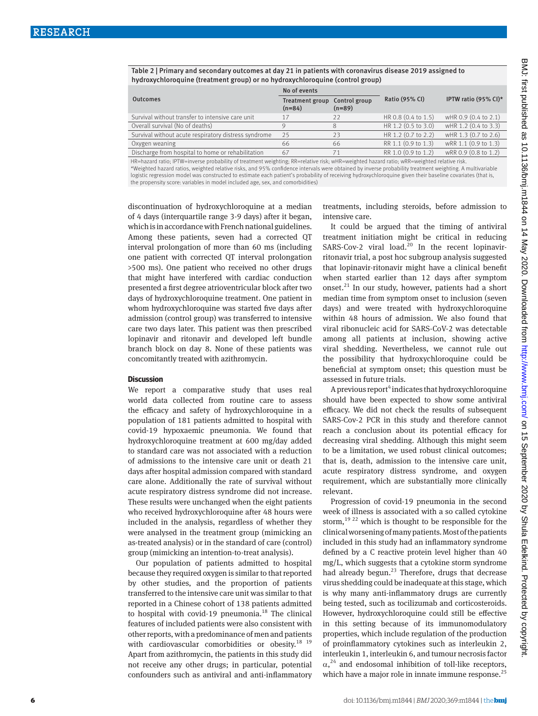Table 2 | Primary and secondary outcomes at day 21 in patients with coronavirus disease 2019 assigned to hydroxychloroquine (treatment group) or no hydroxychloroquine (control group)

|                                                      | No of events                |                           |                     |                      |  |
|------------------------------------------------------|-----------------------------|---------------------------|---------------------|----------------------|--|
| <b>Outcomes</b>                                      | Treatment group<br>$(n=84)$ | Control group<br>$(n=89)$ | Ratio (95% CI)      | IPTW ratio (95% CI)* |  |
| Survival without transfer to intensive care unit     | 17                          | 22                        | HR 0.8 (0.4 to 1.5) | wHR 0.9 (0.4 to 2.1) |  |
| Overall survival (No of deaths)                      |                             | 8                         | HR 1.2 (0.5 to 3.0) | wHR 1.2 (0.4 to 3.3) |  |
| Survival without acute respiratory distress syndrome | 25                          | 23                        | HR 1.2 (0.7 to 2.2) | wHR 1.3 (0.7 to 2.6) |  |
| Oxygen weaning                                       | 66                          | 66                        | RR 1.1 (0.9 to 1.3) | wRR 1.1 (0.9 to 1.3) |  |
| Discharge from hospital to home or rehabilitation    | 67                          | 71                        | RR 1.0 (0.9 to 1.2) | wRR 0.9 (0.8 to 1.2) |  |
|                                                      |                             |                           |                     |                      |  |

HR=hazard ratio; IPTW=inverse probability of treatment weighting; RR=relative risk; wHR=weighted hazard ratio; wRR=weighted relative risk. \*Weighted hazard ratios, weighted relative risks, and 95% confidence intervals were obtained by inverse probability treatment weighting. A multivariable logistic regression model was constructed to estimate each patient's probability of receiving hydroxychloroquine given their baseline covariates (that is, the propensity score: variables in model included age, sex, and comorbidities)

discontinuation of hydroxychloroquine at a median of 4 days (interquartile range 3-9 days) after it began, which is in accordance with French national guidelines. Among these patients, seven had a corrected QT interval prolongation of more than 60 ms (including one patient with corrected QT interval prolongation >500 ms). One patient who received no other drugs that might have interfered with cardiac conduction presented a first degree atrioventricular block after two days of hydroxychloroquine treatment. One patient in whom hydroxychloroquine was started five days after admission (control group) was transferred to intensive care two days later. This patient was then prescribed lopinavir and ritonavir and developed left bundle branch block on day 8. None of these patients was concomitantly treated with azithromycin.

# **Discussion**

We report a comparative study that uses real world data collected from routine care to assess the efficacy and safety of hydroxychloroquine in a population of 181 patients admitted to hospital with covid-19 hypoxaemic pneumonia. We found that hydroxychloroquine treatment at 600 mg/day added to standard care was not associated with a reduction of admissions to the intensive care unit or death 21 days after hospital admission compared with standard care alone. Additionally the rate of survival without acute respiratory distress syndrome did not increase. These results were unchanged when the eight patients who received hydroxychloroquine after 48 hours were included in the analysis, regardless of whether they were analysed in the treatment group (mimicking an as-treated analysis) or in the standard of care (control) group (mimicking an intention-to-treat analysis).

Our population of patients admitted to hospital because they required oxygen is similar to that reported by other studies, and the proportion of patients transferred to the intensive care unit was similar to that reported in a Chinese cohort of 138 patients admitted to hospital with covid-19 pneumonia. $18$  The clinical features of included patients were also consistent with other reports, with a predominance of men and patients with cardiovascular comorbidities or obesity.<sup>18 19</sup> Apart from azithromycin, the patients in this study did not receive any other drugs; in particular, potential confounders such as antiviral and anti-inflammatory treatments, including steroids, before admission to intensive care.

It could be argued that the timing of antiviral treatment initiation might be critical in reducing SARS-Cov-2 viral load.<sup>20</sup> In the recent lopinavirritonavir trial, a post hoc subgroup analysis suggested that lopinavir-ritonavir might have a clinical benefit when started earlier than 12 days after symptom onset.<sup>21</sup> In our study, however, patients had a short median time from symptom onset to inclusion (seven days) and were treated with hydroxychloroquine within 48 hours of admission. We also found that viral ribonucleic acid for SARS-CoV-2 was detectable among all patients at inclusion, showing active viral shedding. Nevertheless, we cannot rule out the possibility that hydroxychloroquine could be beneficial at symptom onset; this question must be assessed in future trials.

A previous report<sup>4</sup> indicates that hydroxychloroquine should have been expected to show some antiviral efficacy. We did not check the results of subsequent SARS-Cov-2 PCR in this study and therefore cannot reach a conclusion about its potential efficacy for decreasing viral shedding. Although this might seem to be a limitation, we used robust clinical outcomes; that is, death, admission to the intensive care unit, acute respiratory distress syndrome, and oxygen requirement, which are substantially more clinically relevant.

Progression of covid-19 pneumonia in the second week of illness is associated with a so called cytokine storm,  $1922$  which is thought to be responsible for the clinical worsening of many patients. Most of the patients included in this study had an inflammatory syndrome defined by a C reactive protein level higher than 40 mg/L, which suggests that a cytokine storm syndrome had already begun.<sup>23</sup> Therefore, drugs that decrease virus shedding could be inadequate at this stage, which is why many anti-inflammatory drugs are currently being tested, such as tocilizumab and corticosteroids. However, hydroxychloroquine could still be effective in this setting because of its immunomodulatory properties, which include regulation of the production of proinflammatory cytokines such as interleukin 2, interleukin 1, interleukin 6, and tumour necrosis factor  $\alpha$ ,<sup>24</sup> and endosomal inhibition of toll-like receptors, which have a major role in innate immune response.<sup>25</sup>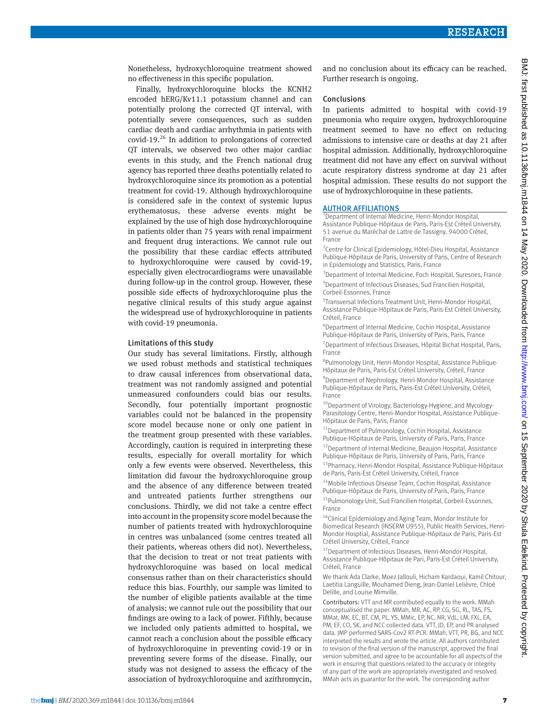Nonetheless, hydroxychloroquine treatment showed no effectiveness in this specific population.

Finally, hydroxychloroquine blocks the KCNH2 encoded hERG/Kv11.1 potassium channel and can potentially prolong the corrected QT interval, with potentially severe consequences, such as sudden cardiac death and cardiac arrhythmia in patients with covid-19. $26$  In addition to prolongations of corrected QT intervals, we observed two other major cardiac events in this study, and the French national drug agency has reported three deaths potentially related to hydroxychloroquine since its promotion as a potential treatment for covid-19. Although hydroxychloroquine is considered safe in the context of systemic lupus erythematosus, these adverse events might be explained by the use of high dose hydroxychloroquine in patients older than 75 years with renal impairment and frequent drug interactions. We cannot rule out the possibility that these cardiac effects attributed to hydroxychloroquine were caused by covid-19, especially given electrocardiograms were unavailable during follow-up in the control group. However, these possible side effects of hydroxychloroquine plus the negative clinical results of this study argue against the widespread use of hydroxychloroquine in patients with covid-19 pneumonia.

#### Limitations of this study

Our study has several limitations. Firstly, although we used robust methods and statistical techniques to draw causal inferences from observational data, treatment was not randomly assigned and potential unmeasured confounders could bias our results. Secondly, four potentially important prognostic variables could not be balanced in the propensity score model because none or only one patient in the treatment group presented with these variables. Accordingly, caution is required in interpreting these results, especially for overall mortality for which only a few events were observed. Nevertheless, this limitation did favour the hydroxychloroquine group and the absence of any difference between treated and untreated patients further strengthens our conclusions. Thirdly, we did not take a centre effect into account in the propensity score model because the number of patients treated with hydroxychloroquine in centres was unbalanced (some centres treated all their patients, whereas others did not). Nevertheless, that the decision to treat or not treat patients with hydroxychloroquine was based on local medical consensus rather than on their characteristics should reduce this bias. Fourthly, our sample was limited to the number of eligible patients available at the time of analysis; we cannot rule out the possibility that our findings are owing to a lack of power. Fifthly, because we included only patients admitted to hospital, we cannot reach a conclusion about the possible efficacy of hydroxychloroquine in preventing covid-19 or in preventing severe forms of the disease. Finally, our study was not designed to assess the efficacy of the association of hydroxychloroquine and azithromycin, and no conclusion about its efficacy can be reached. Further research is ongoing.

#### Conclusions

In patients admitted to hospital with covid-19 pneumonia who require oxygen, hydroxychloroquine treatment seemed to have no effect on reducing admissions to intensive care or deaths at day 21 after hospital admission. Additionally, hydroxychloroquine treatment did not have any effect on survival without acute respiratory distress syndrome at day 21 after hospital admission. These results do not support the use of hydroxychloroquine in these patients.

# AUTHOR AFFILIATIONS

<sup>1</sup> Department of Internal Medicine, Henri-Mondor Hospital, Assistance Publique-Hôpitaux de Paris, Paris-Est Créteil University, 51 avenue du Maréchal de Lattre de Tassigny, 94000 Créteil, France

<sup>2</sup> Centre for Clinical Epidemiology, Hôtel-Dieu Hospital, Assistance Publique-Hôpitaux de Paris, University of Paris, Centre of Research in Epidemiology and Statistics, Paris, France

<sup>3</sup> Department of Internal Medicine, Foch Hospital, Suresnes, France 4 Department of Infectious Diseases, Sud Francilien Hospital, Corbeil-Essonnes, France

5 Transversal Infections Treatment Unit, Henri-Mondor Hospital, Assistance Publique-Hôpitaux de Paris, Paris-Est Créteil University, Créteil, France

6 Department of Internal Medicine, Cochin Hospital, Assistance Publique-Hôpitaux de Paris, University of Paris, Paris, France <sup>7</sup> Department of Infectious Diseases, Hôpital Bichat Hospital, Paris,

France 8 Pulmonology Unit, Henri-Mondor Hospital, Assistance Publique-

Hôpitaux de Paris, Paris-Est Créteil University, Créteil, France

<sup>9</sup> Department of Nephrology, Henri-Mondor Hospital, Assistance Publique-Hôpitaux de Paris, Paris-Est Créteil University, Créteil, France

<sup>10</sup>Department of Virology, Bacteriology-Hygiene, and Mycology-Parasitology Centre, Henri-Mondor Hospital, Assistance Publique-Hôpitaux de Paris, Paris, France

<sup>11</sup>Department of Pulmonology, Cochin Hospital, Assistance Publique-Hôpitaux de Paris, University of Paris, Paris, France

12Department of Internal Medicine, Beaujon Hospital, Assistance Publique-Hôpitaux de Paris, University of Paris, Paris, France

13Pharmacy, Henri-Mondor Hospital, Assistance Publique-Hôpitaux de Paris, Paris-Est Créteil University, Créteil, France

<sup>14</sup>Mobile Infectious Disease Team, Cochin Hospital, Assistance Publique-Hôpitaux de Paris, University of Paris, Paris, France

15 Pulmonology Unit, Sud Francilien Hospital, Corbeil-Essonnes, France

<sup>16</sup>Clinical Epidemiology and Aging Team, Mondor Institute for Biomedical Research (INSERM U955), Public Health Services, Henri-Mondor Hosptial, Assistance Publique-Hôpitaux de Paris, Paris-Est Créteil University, Créteil, France

<sup>17</sup> Department of Infectious Diseases, Henri-Mondor Hospital, Assistance Publique-Hôpitaux de Pari, Paris-Est Créteil University, Créteil, France

We thank Ada Clarke, Moez Jallouli, Hicham Kardaoui, Kamil Chitour, Laetitia Languille, Mouhamed Dieng, Jean-Daniel Lelièvre, Chloé Delille, and Louise Mimville.

Contributors: VTT and MR contributed equally to the work. MMah conceptualised the paper. MMah, MR, AC, RP, CG, SG, RL, TAS, FS, MMat, MK, EC, BT, CM, PL, YS, MMic, EP, NC, NR, VdL, LM, FXL, EA, PM, EF, CO, SK, and NCC collected data. VTT, JD, EP, and PR analysed data. JMP performed SARS-Cov2 RT-PCR. MMah, VTT, PR, BG, and NCC interpreted the results and wrote the article. All authors contributed to revision of the final version of the manuscript, approved the final version submitted, and agree to be accountable for all aspects of the work in ensuring that questions related to the accuracy or integrity of any part of the work are appropriately investigated and resolved. MMah acts as guarantor for the work. The corresponding author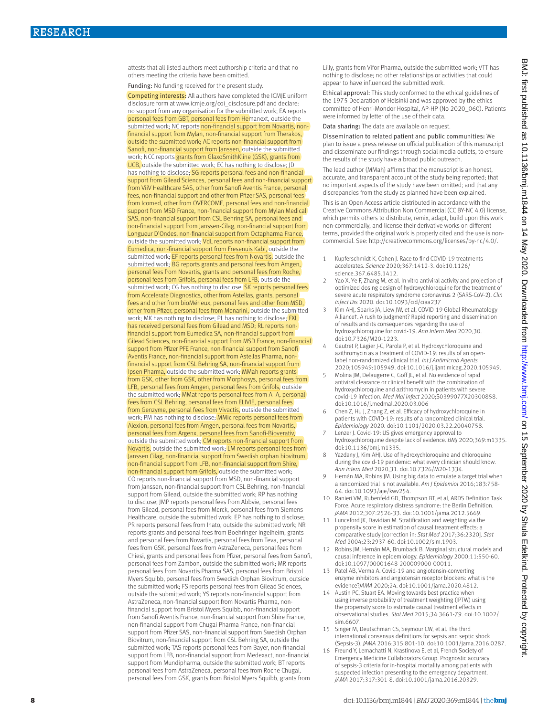attests that all listed authors meet authorship criteria and that no others meeting the criteria have been omitted.

Funding: No funding received for the present study.

Competing interests: All authors have completed the ICMJE uniform disclosure form at [www.icmje.org/coi\\_disclosure.pdf](http://www.icmje.org/coi_disclosure.pdf) and declare: no support from any organisation for the submitted work; EA reports personal fees from GBT, personal fees from Hemanext, outside the submitted work; NC reports non-financial support from Novartis, nonfinancial support from Mylan, non-financial support from Therakos, outside the submitted work; AC reports non-financial support from Sanofi, non-financial support from Janssen, outside the submitted work; NCC reports grants from GlaxoSmithKline (GSK), grants from UCB, outside the submitted work; EC has nothing to disclose; JD has nothing to disclose; SG reports personal fees and non-financial support from Gilead Sciences, personal fees and non-financial support from ViiV Healthcare SAS, other from Sanofi Aventis France, personal fees, non-financial support and other from Pfizer SAS, personal fees from Icomed, other from OVERCOME, personal fees and non-financial support from MSD France, non-financial support from Mylan Medical SAS, non-financial support from CSL Behring SA, personal fees and non-financial support from Janssen-Cilag, non-financial support from Longueur D'Ondes, non-financial support from Octapharma France, outside the submitted work; VdL reports non-financial support from Eumedica, non-financial support from Fresenuis Kabi, outside the submitted work; EF reports personal fees from Novartis, outside the submitted work; BG reports grants and personal fees from Amgen, personal fees from Novartis, grants and personal fees from Roche, personal fees from Grifols, personal fees from LFB, outside the submitted work; CG has nothing to disclose; SK reports personal fees from Accelerate Diagnostics, other from Astellas, grants, personal fees and other from bioMérieux, personal fees and other from MSD, other from Pfizer, personal fees from Menarini, outside the submitted work; MK has nothing to disclose; PL has nothing to disclose; FXL has received personal fees from Gilead and MSD; RL reports nonfinancial support from Eumedica SA, non-financial support from Gilead Sciences, non-financial support from MSD France, non-financial support from Pfizer PFE France, non-financial support from Sanofi Aventis France, non-financial support from Astellas Pharma, nonfinancial support from CSL Behring SA, non-financial support from Ipsen Pharma, outside the submitted work; MMah reports grants from GSK, other from GSK, other from Morphosys, personal fees from LFB, personal fees from Amgen, personal fees from Grifols, outside the submitted work; MMat reports personal fees from A+A, personal fees from CSL Behring, personal fees from ELIVIE, personal fees from Genzyme, personal fees from Vivactis, outside the submitted work; PM has nothing to disclose; MMic reports personal fees from Alexion, personal fees from Amgen, personal fees from Novartis, personal fees from Argenx, personal fees from Sanofi-Bioverativ, outside the submitted work; CM reports non-financial support from Novartis, outside the submitted work; LM reports personal fees from Janssen Cilag, non-financial support from Swedish orphan biovitrum, non-financial support from LFB, non-financial support from Shire, non-financial support from Grifols, outside the submitted work; CO reports non-financial support from MSD, non-financial support from Janssen, non-financial support from CSL Behring, non-financial support from Gilead, outside the submitted work; RP has nothing to disclose; JMP reports personal fees from Abbvie, personal fees from Gilead, personal fees from Merck, personal fees from Siemens Healthcare, outside the submitted work; EP has nothing to disclose; PR reports personal fees from Inato, outside the submitted work; NR reports grants and personal fees from Boehringer Ingelheim, grants and personal fees from Novartis, personal fees from Teva, personal fees from GSK, personal fees from AstraZeneca, personal fees from Chiesi, grants and personal fees from Pfizer, personal fees from Sanofi, personal fees from Zambon, outside the submitted work; MR reports personal fees from Novartis Pharma SAS, personal fees from Bristol Myers Squibb, personal fees from Swedish Orphan Biovitrum, outside the submitted work; FS reports personal fees from Gilead Sciences, outside the submitted work; YS reports non-financial support from AstraZeneca, non-financial support from Novartis Pharma, nonfinancial support from Bristol Myers Squibb, non-financial support from Sanofi Aventis France, non-financial support from Shire France, non-financial support from Chugai Pharma France, non-financial support from Pfizer SAS, non-financial support from Swedish Orphan Biovitrum, non-financial support from CSL Behring SA, outside the submitted work; TAS reports personal fees from Bayer, non-financial support from LFB, non-financial support from Medexact, non-financial support from Mundipharma, outside the submitted work; BT reports personal fees from AstraZeneca, personal fees from Roche Chugai, personal fees from GSK, grants from Bristol Myers Squibb, grants from

Lilly, grants from Vifor Pharma, outside the submitted work; VTT has nothing to disclose; no other relationships or activities that could appear to have influenced the submitted work.

Ethical approval: This study conformed to the ethical guidelines of the 1975 Declaration of Helsinki and was approved by the ethics committee of Henri-Mondor Hospital, AP-HP (No 2020\_060). Patients were informed by letter of the use of their data.

Data sharing: The data are available on request.

Dissemination to related patient and public communities: We plan to issue a press release on official publication of this manuscript and disseminate our findings through social media outlets, to ensure the results of the study have a broad public outreach.

The lead author (MMah) affirms that the manuscript is an honest, accurate, and transparent account of the study being reported; that no important aspects of the study have been omitted; and that any discrepancies from the study as planned have been explained.

This is an Open Access article distributed in accordance with the Creative Commons Attribution Non Commercial (CC BY-NC 4.0) license, which permits others to distribute, remix, adapt, build upon this work non-commercially, and license their derivative works on different terms, provided the original work is properly cited and the use is noncommercial. See:<http://creativecommons.org/licenses/by-nc/4.0/>.

- 1 Kupferschmidt K, Cohen J. Race to find COVID-19 treatments accelerates. *Science* 2020;367:1412-3. doi:10.1126/ science.367.6485.1412.
- Yao X, Ye F, Zhang M, et al. In vitro antiviral activity and projection of optimized dosing design of hydroxychloroquine for the treatment of severe acute respiratory syndrome coronavirus 2 (SARS-CoV-2). *Clin Infect Dis* 2020. doi:10.1093/cid/ciaa237
- Kim AHJ, Sparks JA, Liew JW, et al, COVID-19 Global Rheumatology Alliance†. A rush to judgment? Rapid reporting and dissemination of results and its consequences regarding the use of hydroxychloroquine for covid-19. *Ann Intern Med* 2020;30. doi:10.7326/M20-1223.
- Gautret P, Lagier J-C, Parola P, et al. Hydroxychloroquine and azithromycin as a treatment of COVID-19: results of an openlabel non-randomized clinical trial. *Int J Antimicrob Agents*  2020;105949:105949. doi:10.1016/j.ijantimicag.2020.105949.
- Molina JM, Delaugerre C, Goff JL, et al. No evidence of rapid antiviral clearance or clinical benefit with the combination of hydroxychloroquine and azithromycin in patients with severe covid-19 infection. *Med Mal Infect* 2020;S0399077X20300858. doi:10.1016/j.medmal.2020.03.006
- 6 Chen Z, Hu J, Zhang Z, et al. Efficacy of hydroxychloroquine in patients with COVID-19: results of a randomized clinical trial. *Epidemiology* 2020. doi:10.1101/2020.03.22.20040758.
- Lenzer J. Covid-19: US gives emergency approval to hydroxychloroquine despite lack of evidence. *BMJ* 2020;369:m1335. doi:10.1136/bmj.m1335.
- 8 Yazdany J, Kim AHJ. Use of hydroxychloroquine and chloroquine during the covid-19 pandemic: what every clinician should know. *Ann Intern Med* 2020;31. doi:10.7326/M20-1334.
- 9 Hernán MA, Robins JM. Using big data to emulate a target trial when a randomized trial is not available. *Am J Epidemiol* 2016;183:758- 64. doi:10.1093/aje/kwv254.
- 10 Ranieri VM, Rubenfeld GD, Thompson BT, et al, ARDS Definition Task Force. Acute respiratory distress syndrome: the Berlin Definition. *JAMA* 2012;307:2526-33. doi:10.1001/jama.2012.5669.
- 11 Lunceford JK, Davidian M. Stratification and weighting via the propensity score in estimation of causal treatment effects: a comparative study [correction in: *Stat Med* 2017;36:2320]. *Stat Med* 2004;23:2937-60. doi:10.1002/sim.1903.
- 12 Robins JM, Hernán MA, Brumback B. Marginal structural models and causal inference in epidemiology. *Epidemiology* 2000;11:550-60. doi:10.1097/00001648-200009000-00011.
- 13 Patel AB, Verma A. Covid-19 and angiotensin-converting enzyme inhibitors and angiotensin receptor blockers: what is the evidence?*JAMA* 2020;24. doi:10.1001/jama.2020.4812.
- 14 Austin PC, Stuart EA. Moving towards best practice when using inverse probability of treatment weighting (IPTW) using the propensity score to estimate causal treatment effects in observational studies. *Stat Med* 2015;34:3661-79. doi:10.1002/ sim.6607.
- 15 Singer M, Deutschman CS, Seymour CW, et al. The third international consensus definitions for sepsis and septic shock (Sepsis-3). *JAMA* 2016;315:801-10. doi:10.1001/jama.2016.0287.
- 16 Freund Y, Lemachatti N, Krastinova E, et al, French Society of Emergency Medicine Collaborators Group. Prognostic accuracy of sepsis-3 criteria for in-hospital mortality among patients with suspected infection presenting to the emergency department. *JAMA* 2017;317:301-8. doi:10.1001/jama.2016.20329.